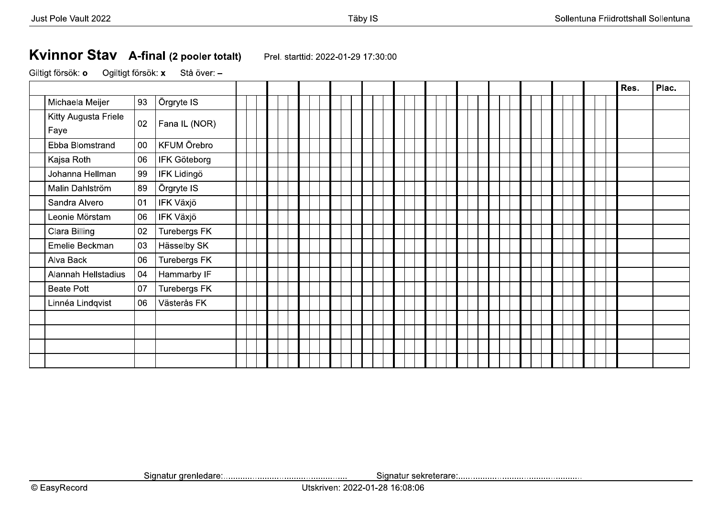## Kvinnor Stav A-final (2 pooler totalt)

Prel. starttid: 2022-01-29 17:30:00

Ogiltigt försök: x Giltigt försök: o Stå över: -

|                              |        |                    |  |  |  |  |  |  |  |  |  |  | Res. | Plac. |
|------------------------------|--------|--------------------|--|--|--|--|--|--|--|--|--|--|------|-------|
| Michaela Meijer              | 93     | Örgryte IS         |  |  |  |  |  |  |  |  |  |  |      |       |
| Kitty Augusta Friele<br>Faye | 02     | Fana IL (NOR)      |  |  |  |  |  |  |  |  |  |  |      |       |
| Ebba Blomstrand              | $00\,$ | KFUM Örebro        |  |  |  |  |  |  |  |  |  |  |      |       |
| Kajsa Roth                   | 06     | IFK Göteborg       |  |  |  |  |  |  |  |  |  |  |      |       |
| Johanna Hellman              | 99     | <b>IFK Lidingö</b> |  |  |  |  |  |  |  |  |  |  |      |       |
| Malin Dahlström              | 89     | Örgryte IS         |  |  |  |  |  |  |  |  |  |  |      |       |
| Sandra Alvero                | 01     | IFK Växjö          |  |  |  |  |  |  |  |  |  |  |      |       |
| Leonie Mörstam               | 06     | IFK Växjö          |  |  |  |  |  |  |  |  |  |  |      |       |
| Clara Billing                | 02     | Turebergs FK       |  |  |  |  |  |  |  |  |  |  |      |       |
| Emelie Beckman               | 03     | Hässelby SK        |  |  |  |  |  |  |  |  |  |  |      |       |
| Alva Back                    | 06     | Turebergs FK       |  |  |  |  |  |  |  |  |  |  |      |       |
| Alannah Hellstadius          | 04     | Hammarby IF        |  |  |  |  |  |  |  |  |  |  |      |       |
| <b>Beate Pott</b>            | 07     | Turebergs FK       |  |  |  |  |  |  |  |  |  |  |      |       |
| Linnéa Lindqvist             | 06     | Västerås FK        |  |  |  |  |  |  |  |  |  |  |      |       |
|                              |        |                    |  |  |  |  |  |  |  |  |  |  |      |       |
|                              |        |                    |  |  |  |  |  |  |  |  |  |  |      |       |
|                              |        |                    |  |  |  |  |  |  |  |  |  |  |      |       |
|                              |        |                    |  |  |  |  |  |  |  |  |  |  |      |       |

Utskriven: 2022-01-28 16:08:06